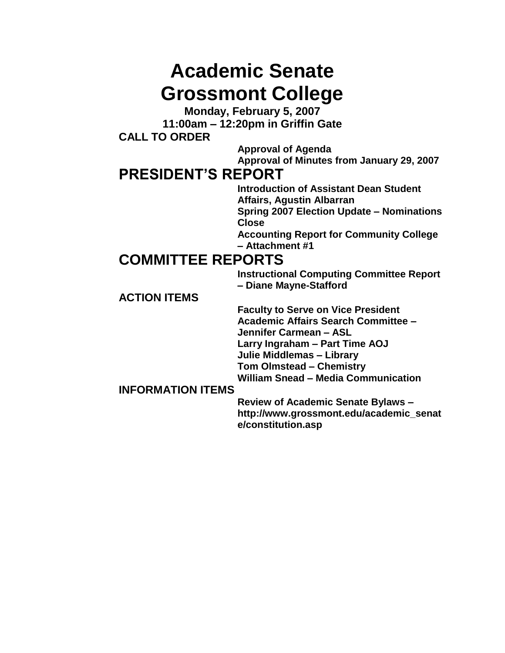# **Academic Senate Grossmont College**

**Monday, February 5, 2007 11:00am – 12:20pm in Griffin Gate CALL TO ORDER**

> **Approval of Agenda Approval of Minutes from January 29, 2007**

# **PRESIDENT'S REPORT**

**Introduction of Assistant Dean Student Affairs, Agustin Albarran Spring 2007 Election Update – Nominations Close Accounting Report for Community College – Attachment #1**

# **COMMITTEE REPORTS**

**Instructional Computing Committee Report – Diane Mayne-Stafford**

**ACTION ITEMS**

**Faculty to Serve on Vice President Academic Affairs Search Committee – Jennifer Carmean – ASL Larry Ingraham – Part Time AOJ Julie Middlemas – Library Tom Olmstead – Chemistry William Snead – Media Communication**

## **INFORMATION ITEMS**

**Review of Academic Senate Bylaws – http://www.grossmont.edu/academic\_senat e/constitution.asp**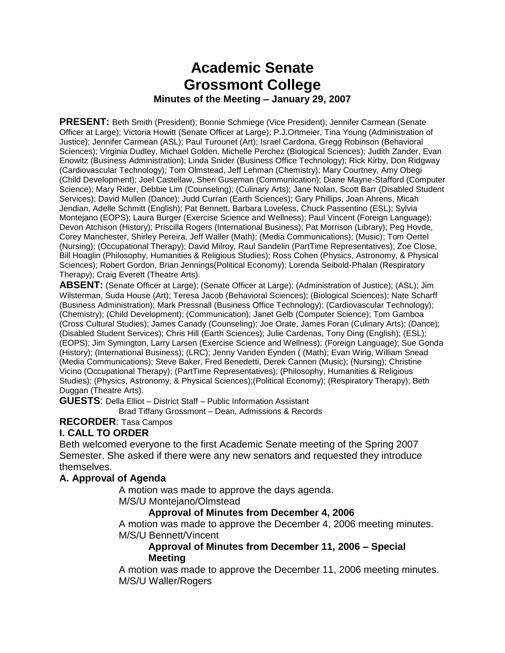# **Academic Senate Grossmont College Minutes of the Meeting – January 29, 2007**

**PRESENT:** Beth Smith (President); Bonnie Schmiege (Vice President); Jennifer Carmean (Senate Officer at Large); Victoria Howitt (Senate Officer at Large); P.J.Ortmeier, Tina Young (Administration of Justice); Jennifer Carmean (ASL); Paul Turounet (Art); Israel Cardona, Gregg Robinson (Behavioral Sciences); Virginia Dudley, Michael Golden, Michelle Perchez (Biological Sciences); Judith Zander, Evan Enowitz (Business Administration); Linda Snider (Business Office Technology); Rick Kirby, Don Ridgway (Cardiovascular Technology); Tom Olmstead, Jeff Lehman (Chemistry); Mary Courtney, Amy Obegi (Child Development); Joel Castellaw, Sheri Guseman (Communication); Diane Mayne-Stafford (Computer Science); Mary Rider, Debbie Lim (Counseling); (Culinary Arts); Jane Nolan, Scott Barr (Disabled Student Services); David Mullen (Dance); Judd Curran (Earth Sciences); Gary Phillips, Joan Ahrens, Micah Jendian, Adelle Schmitt (English); Pat Bennett, Barbara Loveless, Chuck Passentino (ESL); Sylvia Montejano (EOPS); Laura Burger (Exercise Science and Wellness); Paul Vincent (Foreign Language); Devon Atchison (History); Priscilla Rogers (International Business); Pat Morrison (Library); Peg Hovde, Corey Manchester, Shirley Pereira, Jeff Waller (Math); (Media Communications); (Music); Tom Oertel (Nursing); (Occupational Therapy); David Milroy, Raul Sandelin (PartTime Representatives); Zoe Close, Bill Hoaglin (Philosophy, Humanities & Religious Studies); Ross Cohen (Physics, Astronomy, & Physical Sciences); Robert Gordon, Brian Jennings(Political Economy); Lorenda Seibold-Phalan (Respiratory Therapy); Craig Everett (Theatre Arts).

**ABSENT:** (Senate Officer at Large); (Senate Officer at Large); (Administration of Justice); (ASL); Jim Wilsterman, Suda House (Art); Teresa Jacob (Behavioral Sciences); (Biological Sciences); Nate Scharff (Business Administration); Mark Pressnall (Business Office Technology); (Cardiovascular Technology); (Chemistry); (Child Development); (Communication); Janet Gelb (Computer Science); Tom Gamboa (Cross Cultural Studies); James Canady (Counseling); Joe Orate, James Foran (Culinary Arts); (Dance); (Disabled Student Services); Chris Hill (Earth Sciences); Julie Cardenas, Tony Ding (English); (ESL); (EOPS); Jim Symington, Larry Larsen (Exercise Science and Wellness); (Foreign Language); Sue Gonda (History); (International Business); (LRC); Jenny Vanden Eynden ( (Math); Evan Wirig, William Snead (Media Communications); Steve Baker, Fred Benedetti, Derek Cannon (Music); (Nursing); Christine Vicino (Occupational Therapy); (PartTime Representatives); (Philosophy, Humanities & Religious Studies); (Physics, Astronomy, & Physical Sciences);(Political Economy); (Respiratory Therapy); Beth Duggan (Theatre Arts).

**GUESTS**: Della Elliot – District Staff – Public Information Assistant

Brad Tiffany Grossmont – Dean, Admissions & Records

**RECORDER**: Tasa Campos

### **I. CALL TO ORDER**

Beth welcomed everyone to the first Academic Senate meeting of the Spring 2007 Semester. She asked if there were any new senators and requested they introduce themselves.

#### **A. Approval of Agenda**

A motion was made to approve the days agenda. M/S/U Montejano/Olmstead

# **Approval of Minutes from December 4, 2006**

A motion was made to approve the December 4, 2006 meeting minutes. M/S/U Bennett/Vincent

#### **Approval of Minutes from December 11, 2006 – Special Meeting**

A motion was made to approve the December 11, 2006 meeting minutes. M/S/U Waller/Rogers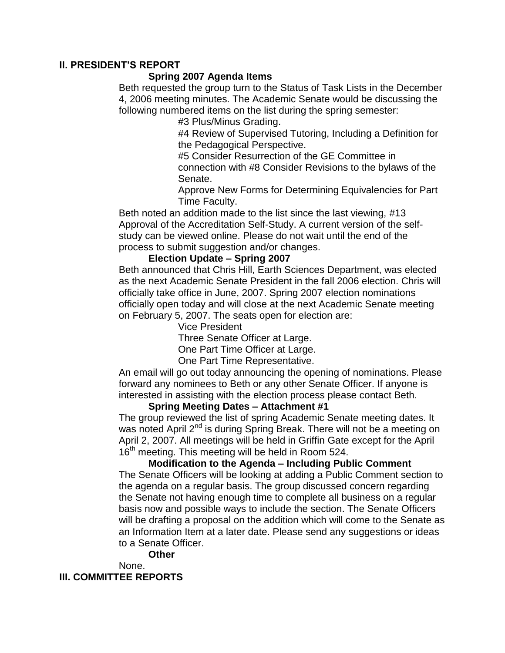#### **II. PRESIDENT'S REPORT**

#### **Spring 2007 Agenda Items**

Beth requested the group turn to the Status of Task Lists in the December 4, 2006 meeting minutes. The Academic Senate would be discussing the following numbered items on the list during the spring semester:

#3 Plus/Minus Grading.

#4 Review of Supervised Tutoring, Including a Definition for the Pedagogical Perspective.

#5 Consider Resurrection of the GE Committee in connection with #8 Consider Revisions to the bylaws of the Senate.

Approve New Forms for Determining Equivalencies for Part Time Faculty.

Beth noted an addition made to the list since the last viewing, #13 Approval of the Accreditation Self-Study. A current version of the selfstudy can be viewed online. Please do not wait until the end of the process to submit suggestion and/or changes.

#### **Election Update – Spring 2007**

Beth announced that Chris Hill, Earth Sciences Department, was elected as the next Academic Senate President in the fall 2006 election. Chris will officially take office in June, 2007. Spring 2007 election nominations officially open today and will close at the next Academic Senate meeting on February 5, 2007. The seats open for election are:

Vice President

Three Senate Officer at Large.

One Part Time Officer at Large.

One Part Time Representative.

An email will go out today announcing the opening of nominations. Please forward any nominees to Beth or any other Senate Officer. If anyone is interested in assisting with the election process please contact Beth.

#### **Spring Meeting Dates – Attachment #1**

The group reviewed the list of spring Academic Senate meeting dates. It was noted April 2<sup>nd</sup> is during Spring Break. There will not be a meeting on April 2, 2007. All meetings will be held in Griffin Gate except for the April 16<sup>th</sup> meeting. This meeting will be held in Room 524.

**Modification to the Agenda – Including Public Comment** The Senate Officers will be looking at adding a Public Comment section to the agenda on a regular basis. The group discussed concern regarding the Senate not having enough time to complete all business on a regular basis now and possible ways to include the section. The Senate Officers will be drafting a proposal on the addition which will come to the Senate as an Information Item at a later date. Please send any suggestions or ideas to a Senate Officer.

**Other**

None.

**III. COMMITTEE REPORTS**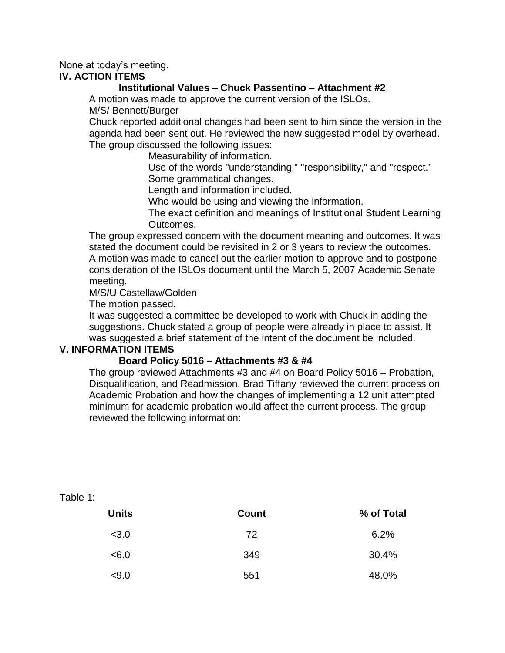### None at today's meeting.

### **IV. ACTION ITEMS**

#### **Institutional Values – Chuck Passentino – Attachment #2**

A motion was made to approve the current version of the ISLOs. M/S/ Bennett/Burger

Chuck reported additional changes had been sent to him since the version in the agenda had been sent out. He reviewed the new suggested model by overhead. The group discussed the following issues:

Measurability of information.

Use of the words "understanding," "responsibility," and "respect." Some grammatical changes.

Length and information included.

Who would be using and viewing the information.

The exact definition and meanings of Institutional Student Learning Outcomes.

The group expressed concern with the document meaning and outcomes. It was stated the document could be revisited in 2 or 3 years to review the outcomes. A motion was made to cancel out the earlier motion to approve and to postpone consideration of the ISLOs document until the March 5, 2007 Academic Senate meeting.

M/S/U Castellaw/Golden

The motion passed.

It was suggested a committee be developed to work with Chuck in adding the suggestions. Chuck stated a group of people were already in place to assist. It was suggested a brief statement of the intent of the document be included.

#### **V. INFORMATION ITEMS**

#### **Board Policy 5016 – Attachments #3 & #4**

The group reviewed Attachments #3 and #4 on Board Policy 5016 – Probation, Disqualification, and Readmission. Brad Tiffany reviewed the current process on Academic Probation and how the changes of implementing a 12 unit attempted minimum for academic probation would affect the current process. The group reviewed the following information:

| <b>Units</b> | Count | % of Total |
|--------------|-------|------------|
| < 3.0        | 72    | 6.2%       |
| < 6.0        | 349   | 30.4%      |
| < 9.0        | 551   | 48.0%      |

Table 1: